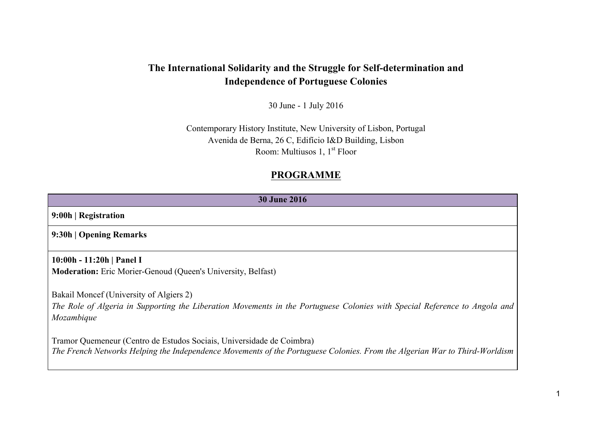# **The International Solidarity and the Struggle for Self-determination and Independence of Portuguese Colonies**

30 June - 1 July 2016

Contemporary History Institute, New University of Lisbon, Portugal Avenida de Berna, 26 C, Edifício I&D Building, Lisbon Room: Multiusos 1,  $1<sup>st</sup>$  Floor

## **PROGRAMME**

| <b>30 June 2016</b>                                                                                                                                                                                 |
|-----------------------------------------------------------------------------------------------------------------------------------------------------------------------------------------------------|
| 9:00h   Registration                                                                                                                                                                                |
| 9:30h   Opening Remarks                                                                                                                                                                             |
| 10:00h - 11:20h   Panel I<br><b>Moderation:</b> Eric Morier-Genoud (Queen's University, Belfast)                                                                                                    |
| Bakail Moncef (University of Algiers 2)<br>The Role of Algeria in Supporting the Liberation Movements in the Portuguese Colonies with Special Reference to Angola and<br>Mozambique                 |
| Tramor Quemeneur (Centro de Estudos Sociais, Universidade de Coimbra)<br>The French Networks Helping the Independence Movements of the Portuguese Colonies. From the Algerian War to Third-Worldism |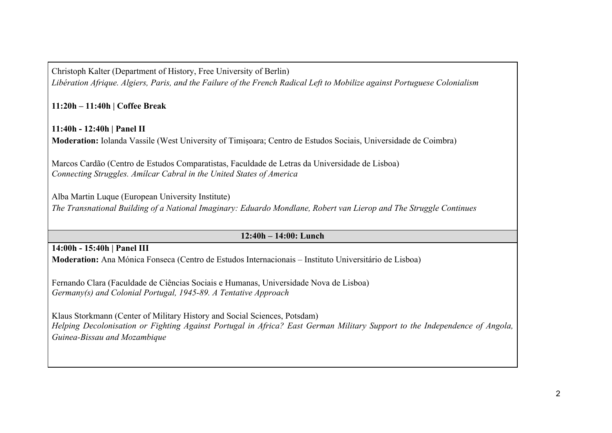Christoph Kalter (Department of History, Free University of Berlin) *Libération Afrique. Algiers, Paris, and the Failure of the French Radical Left to Mobilize against Portuguese Colonialism*

**11:20h – 11:40h | Coffee Break**

**11:40h - 12:40h | Panel II Moderation:** Iolanda Vassile (West University of Timișoara; Centro de Estudos Sociais, Universidade de Coimbra)

Marcos Cardão (Centro de Estudos Comparatistas, Faculdade de Letras da Universidade de Lisboa) *Connecting Struggles. Amílcar Cabral in the United States of America*

Alba Martin Luque (European University Institute) *The Transnational Building of a National Imaginary: Eduardo Mondlane, Robert van Lierop and The Struggle Continues*

### **12:40h – 14:00: Lunch**

### **14:00h - 15:40h | Panel III**

**Moderation:** Ana Mónica Fonseca (Centro de Estudos Internacionais – Instituto Universitário de Lisboa)

Fernando Clara (Faculdade de Ciências Sociais e Humanas, Universidade Nova de Lisboa) *Germany(s) and Colonial Portugal, 1945-89. A Tentative Approach*

Klaus Storkmann (Center of Military History and Social Sciences, Potsdam) *Helping Decolonisation or Fighting Against Portugal in Africa? East German Military Support to the Independence of Angola, Guinea-Bissau and Mozambique*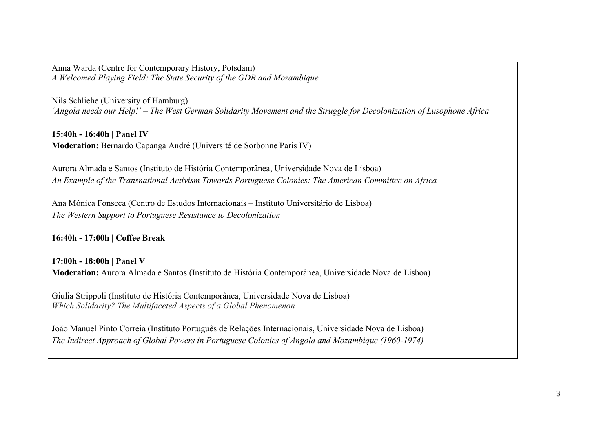Anna Warda (Centre for Contemporary History, Potsdam) *A Welcomed Playing Field: The State Security of the GDR and Mozambique*

Nils Schliehe (University of Hamburg) *'Angola needs our Help!' – The West German Solidarity Movement and the Struggle for Decolonization of Lusophone Africa*

**15:40h - 16:40h | Panel IV Moderation:** Bernardo Capanga André (Université de Sorbonne Paris IV)

Aurora Almada e Santos (Instituto de História Contemporânea, Universidade Nova de Lisboa) *An Example of the Transnational Activism Towards Portuguese Colonies: The American Committee on Africa*

Ana Mónica Fonseca (Centro de Estudos Internacionais – Instituto Universitário de Lisboa) *The Western Support to Portuguese Resistance to Decolonization*

**16:40h - 17:00h | Coffee Break**

**17:00h - 18:00h | Panel V Moderation:** Aurora Almada e Santos (Instituto de História Contemporânea, Universidade Nova de Lisboa)

Giulia Strippoli (Instituto de História Contemporânea, Universidade Nova de Lisboa) *Which Solidarity? The Multifaceted Aspects of a Global Phenomenon*

João Manuel Pinto Correia (Instituto Português de Relações Internacionais, Universidade Nova de Lisboa) *The Indirect Approach of Global Powers in Portuguese Colonies of Angola and Mozambique (1960-1974)*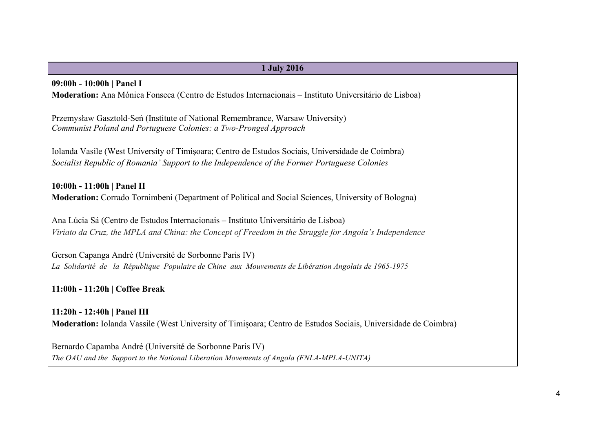# **1 July 2016 09:00h - 10:00h | Panel I Moderation:** Ana Mónica Fonseca (Centro de Estudos Internacionais – Instituto Universitário de Lisboa) Przemysław Gasztold-Seń (Institute of National Remembrance, Warsaw University) *Communist Poland and Portuguese Colonies: a Two-Pronged Approach* Iolanda Vasile (West University of Timișoara; Centro de Estudos Sociais, Universidade de Coimbra) *Socialist Republic of Romania' Support to the Independence of the Former Portuguese Colonies* **10:00h - 11:00h | Panel II Moderation:** Corrado Tornimbeni (Department of Political and Social Sciences, University of Bologna) Ana Lúcia Sá (Centro de Estudos Internacionais – Instituto Universitário de Lisboa) *Viriato da Cruz, the MPLA and China: the Concept of Freedom in the Struggle for Angola's Independence* Gerson Capanga André (Université de Sorbonne Paris IV) *La Solidarité de la République Populaire de Chine aux Mouvements de Libération Angolais de 1965-1975* **11:00h - 11:20h | Coffee Break 11:20h - 12:40h | Panel III Moderation:** Iolanda Vassile (West University of Timișoara; Centro de Estudos Sociais, Universidade de Coimbra)

Bernardo Capamba André (Université de Sorbonne Paris IV) *The OAU and the Support to the National Liberation Movements of Angola (FNLA-MPLA-UNITA)*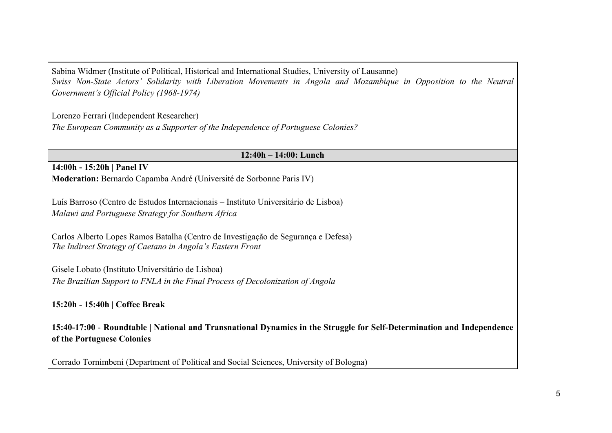Sabina Widmer (Institute of Political, Historical and International Studies, University of Lausanne) *Swiss Non-State Actors' Solidarity with Liberation Movements in Angola and Mozambique in Opposition to the Neutral Government's Official Policy (1968-1974)*

Lorenzo Ferrari (Independent Researcher) *The European Community as a Supporter of the Independence of Portuguese Colonies?*

#### **12:40h – 14:00: Lunch**

#### **14:00h - 15:20h | Panel IV Moderation:** Bernardo Capamba André (Université de Sorbonne Paris IV)

Luís Barroso (Centro de Estudos Internacionais – Instituto Universitário de Lisboa) *Malawi and Portuguese Strategy for Southern Africa*

Carlos Alberto Lopes Ramos Batalha (Centro de Investigação de Segurança e Defesa) *The Indirect Strategy of Caetano in Angola's Eastern Front*

Gisele Lobato (Instituto Universitário de Lisboa) *The Brazilian Support to FNLA in the Final Process of Decolonization of Angola*

**15:20h - 15:40h | Coffee Break**

**15:40-17:00** - **Roundtable | National and Transnational Dynamics in the Struggle for Self-Determination and Independence of the Portuguese Colonies**

Corrado Tornimbeni (Department of Political and Social Sciences, University of Bologna)